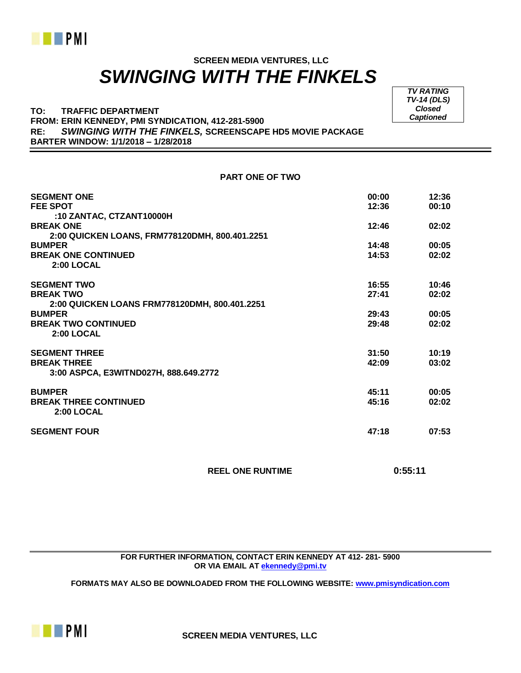

## **SCREEN MEDIA VENTURES, LLC** *SWINGING WITH THE FINKELS*

**PART ONE OF TWO**

**TO: TRAFFIC DEPARTMENT FROM: ERIN KENNEDY, PMI SYNDICATION, 412-281-5900 RE:** *SWINGING WITH THE FINKELS,* **SCREENSCAPE HD5 MOVIE PACKAGE BARTER WINDOW: 1/1/2018 – 1/28/2018**

*TV RATING TV-14 (DLS) Closed Captioned*

| <b>SEGMENT ONE</b>                             | 00:00 | 12:36 |
|------------------------------------------------|-------|-------|
| <b>FEE SPOT</b>                                | 12:36 | 00:10 |
| :10 ZANTAC, CTZANT10000H                       |       |       |
| <b>BREAK ONE</b>                               | 12:46 | 02:02 |
| 2:00 QUICKEN LOANS, FRM778120DMH, 800.401.2251 |       |       |
| <b>BUMPER</b>                                  | 14:48 | 00:05 |
| <b>BREAK ONE CONTINUED</b>                     | 14:53 | 02:02 |
| 2:00 LOCAL                                     |       |       |
|                                                |       |       |
| <b>SEGMENT TWO</b>                             | 16:55 | 10:46 |
| <b>BREAK TWO</b>                               | 27:41 | 02:02 |
| 2:00 QUICKEN LOANS FRM778120DMH, 800.401.2251  |       |       |
| <b>BUMPER</b>                                  | 29:43 | 00:05 |
| <b>BREAK TWO CONTINUED</b>                     | 29:48 | 02:02 |
| <b>2:00 LOCAL</b>                              |       |       |
| <b>SEGMENT THREE</b>                           | 31:50 | 10:19 |
| <b>BREAK THREE</b>                             | 42:09 | 03:02 |
| 3:00 ASPCA, E3WITND027H, 888.649.2772          |       |       |
|                                                |       |       |
| <b>BUMPER</b>                                  | 45:11 | 00:05 |
| <b>BREAK THREE CONTINUED</b>                   | 45:16 | 02:02 |
| <b>2:00 LOCAL</b>                              |       |       |
|                                                |       |       |
| <b>SEGMENT FOUR</b>                            | 47:18 | 07:53 |
|                                                |       |       |

 **REEL ONE RUNTIME 0:55:11**

**FOR FURTHER INFORMATION, CONTACT ERIN KENNEDY AT 412- 281- 5900 OR VIA EMAIL AT [ekennedy@pmi.tv](mailto:ekennedy@pmi.tv)**

**FORMATS MAY ALSO BE DOWNLOADED FROM THE FOLLOWING WEBSITE: [www.pmisyndication.com](http://www.pmisyndication.com/)**